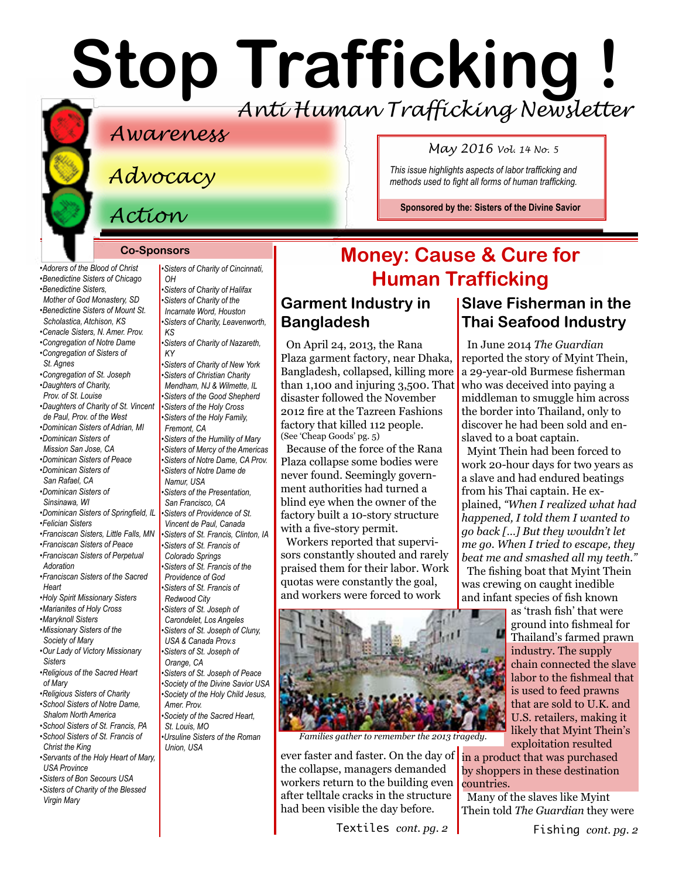# **Stop Trafficking !** *Anti Human Trafficking Newsletter*

## *Awareness*

*Advocacy*

*Action*

#### **Co-Sponsors**

*[•Adorers of the Blood of Christ](http://www.adorers.org/)  [•Benedictine Sisters of Chicago](http://www.osbchicago.org/index.htm)  [•Benedictine Sisters,](http://watertownbenedictines.org/)  [Mother of God Monastery, SD](http://watertownbenedictines.org/)* 

- *[•Benedictine Sisters of Mount St.](http://www.mountosb.org/)  [Scholastica,](http://www.mountosb.org/) Atchison, KS*
- *[•Cenacle Sisters, N. Amer. Prov.](http://www.cenaclesisters.org/)*
- *[•Congregation of Notre Dame](http://www.cnd-m.org/en/justice/index.php)*
- *[•Congregation of Sisters of](http://www.csasisters.org/)  [St. Agnes](http://www.csasisters.org/)*
- *[•Congregation of St. Joseph](http://www.scjoseph.org)  [•Daughters of Charity,](http://www.thedaughtersofcharity.org/)*
- *[Prov. of St. Louise](http://www.thedaughtersofcharity.org/) [•Daughters of Charity of St. Vincent](http://www.daughtersofcharity.com/)*
- *[de Paul, Prov. of t](http://www.daughtersofcharity.com/)he West [•Dominican Sisters of Adrian, MI](http://www.adriandominicans.org/)*
- *[•Dominican Sisters of](https://www.msjdominicans.org/)  [Mission San Jose, CA](https://www.msjdominicans.org/)*
- *[•Dominican Sisters of Peace](http://www.oppeace.org)*
- *[•Dominican Sisters of](http://www.sanrafaelop.org/)  [San Rafael, CA](http://www.sanrafaelop.org/)*
- *[•Dominican Sisters of](http://www.sinsinawa.org/)*
- *[Sinsinawa, WI](http://www.sinsinawa.org/)  [•Dominican Sisters of Springfield, IL](http://springfieldop.org/)*
- *[•Felician Sisters](http://feliciansisters.org/)*
- *[•Franciscan Sisters, Little Falls, MN](http://www.fslf.org/)*
- *[•Franciscan Sisters of Peace](https://sites.google.com/site/fspnet2/home)  [•Franciscan Sisters of Perpetual](http://www.fspa.org/content/ministries/justice-peace/partnerships)*
- *[Adoration](http://www.fspa.org/content/ministries/justice-peace/partnerships) •[Franciscan Sisters of the Sacred](http://www.fssh.com)  [Heart](http://www.fssh.com)*
- *[•Holy Spirit Missionary Sisters](http://www.ssps-usa.org)*
- *[•Marianites of Holy Cross](http://www.marianites.org/)*
- *[•Maryknoll Sisters](https://www.maryknollsisters.org/)*
- *[•Missionary Sisters of the](http://www.maristmissionarysmsm.org/)  [Society of Mary](http://www.maristmissionarysmsm.org/)*
- *[•Our Lady of Victory Missionary](http://www.olvm.org)  [Sisters](http://www.olvm.org)*
- *[•Religious of the Sacred Heart](http://www.rshm.org/)  [of Mary](http://www.rshm.org/)*
- *[•Religious Sisters of Charity](http://www.rsccaritas.ie/)  [•School Sisters of Notre Dame,](http://www.ssnd.org)*
- *[Shalom North America](http://www.ssnd.org)  [•School Sisters of St. Francis, PA](http://www.schoolsistersosf.org/)*
- *[•School Sisters of St. Francis of](http://www.lemontfranciscans.org)  [Christ the King](http://www.lemontfranciscans.org)*
- *[•Servants of the Holy Heart of Mary,](http://www.sscm-usa.org/)  [USA Province](http://www.sscm-usa.org/)*
- *[•Sisters of Bon Secours USA](http://bonsecours.org/us/)  [•Sisters of Charity of the Blessed](http://www.bvmcong.org/)  [Virgin Mary](http://www.bvmcong.org/)*

*[•Sisters of Charity of Cincinnati,](http://www.srcharitycinti.org/)*   $\Omega$ *[•Sisters of Charity of Halifax](http://www.schalifax.ca/)*

*[•Sisters of Charity of the](http://www.sistersofcharity.org/)  [Incarnate Word, Houston](http://www.sistersofcharity.org/)  [•Sisters of Charity, Leavenworth,](http://www.scls.org/)* 

*[KS](http://www.scls.org/) [•Sisters of Charity of Nazareth,](http://www.scnfamily.org/)  [KY](http://www.scnfamily.org/)* 

*[•Sisters of Charity of New York](http://scny.org/)  •Sisters of Christian Charity [Mendham, NJ](http://www.scceast.org) [& Wilmette, IL](http://www.sccwilmette.org)  •[Sisters of the Good Shepherd](http://www.goodshepherdsistersna.com/en/Home.aspx)  •[Sisters of the Holy Cross](http://www.cscsisters.org/)  [•Sisters of the Holy Family,](http://www.holyfamilysisters.org/)  [Fremont, CA](http://www.holyfamilysisters.org/)  •[Sisters of the Humility of Mary](http://www.humilityofmary.org/)  [•Sisters of Mercy of the Americas](http://www.sistersofmercy.org/) [•Sisters of Notre Dame, CA Prov.](http://www.sndca.org/) [•Sisters of Notre Dame de](www.sndden.org/index.html)  [Namur, USA](www.sndden.org/index.html)  [•Sisters of the Presentation,](http://www.presentationsisterssf.org/)  [San Francisco, CA](http://www.presentationsisterssf.org/)  [•Sisters of Providence of St.](http://www.providence.ca)  [Vincent de Paul, Canada](http://www.providence.ca)  [•Sisters of St. Francis, Clinton, IA](http://www.clintonfranciscans.com/)  •[Sisters of St. Francis of](http://stfrancis.org/)  [Colorado Springs](http://stfrancis.org/)  [•Sisters of St. Francis of the](http://www.osfprov.org/)  [Providence of God](http://www.osfprov.org/)  •[Sisters of St. Francis of](http://www.franciscanway.org/stfrancisprovince.html)  [Redwood City](http://www.franciscanway.org/stfrancisprovince.html)  [•Sisters of St. Joseph of](http://www.csjla.org)  [Carondelet, Los Angeles](http://www.csjla.org)  [•Sisters of St. Joseph of Cluny,](http://www.clunyusandcanada.org/)  [USA & Canada Prov.s](http://www.clunyusandcanada.org/)  •[Sisters of St. Joseph of](http://csjorange.org/)  [Orange, CA](http://csjorange.org/)  •[Sisters of St. Joseph of Peace](http://www.csjp.org/)  [•Society of the Divine Savior USA](http://www.salvatorians.com/)  [•Society of the Holy Child Jesus,](http://www.shcj.org/american)  [Amer. Prov.](http://www.shcj.org/american)  [•Society of the Sacred Heart,](https://rscj.org/)* 

*[St. Louis, MO](https://rscj.org/) [•Ursuline Sisters of the Roman](http://usaromanunionursulines.org/)  [Union, USA](http://usaromanunionursulines.org/)*

*May 2016 Vol. 14 No. 5*

*This issue highlights aspects of labor trafficking and methods used to fight all forms of human trafficking.*

**Sponsored by the: [Sisters of the Divine Savior](http://www.sistersofthedivinesavior.org)**

# **Money: Cause & Cure for Human Trafficking**

### **Garment Industry in Bangladesh**

On April 24, 2013, the Rana Plaza garment factory, near Dhaka, Bangladesh, collapsed, killing more than 1,100 and injuring 3,500. That disaster followed the November 2012 fire at the Tazreen Fashions factory that killed 112 people. (See 'Cheap Goods' pg. 5)

Because of the force of the Rana Plaza collapse some bodies were never found. Seemingly government authorities had turned a blind eye when the owner of the factory built a 10-story structure with a five-story permit.

Workers reported that supervisors constantly shouted and rarely praised them for their labor. Work quotas were constantly the goal, and workers were forced to work



In June 2014 *The Guardian* reported the story of Myint Thein, a 29-year-old Burmese fisherman who was deceived into paying a middleman to smuggle him across the border into Thailand, only to discover he had been sold and enslaved to a boat captain.

Myint Thein had been forced to work 20-hour days for two years as a slave and had endured beatings from his Thai captain. He explained, *"When I realized what had happened, I told them I wanted to go back […] But they wouldn't let me go. When I tried to escape, they beat me and smashed all my teeth."*

The fishing boat that Myint Thein was crewing on caught inedible and infant species of fish known

> as 'trash fish' that were ground into fishmeal for Thailand's farmed prawn industry. The supply chain connected the slave labor to the fishmeal that is used to feed prawns that are sold to U.K. and U.S. retailers, making it likely that Myint Thein's exploitation resulted

in a product that was purchased by shoppers in these destination countries.

Many of the slaves like Myint Thein told *The Guardian* they were

Textiles *cont. pg. 2* Fishing *cont. pg. 2*



*Families gather to remember the 2013 tragedy.* 

ever faster and faster. On the day of the collapse, managers demanded workers return to the building even after telltale cracks in the structure had been visible the day before.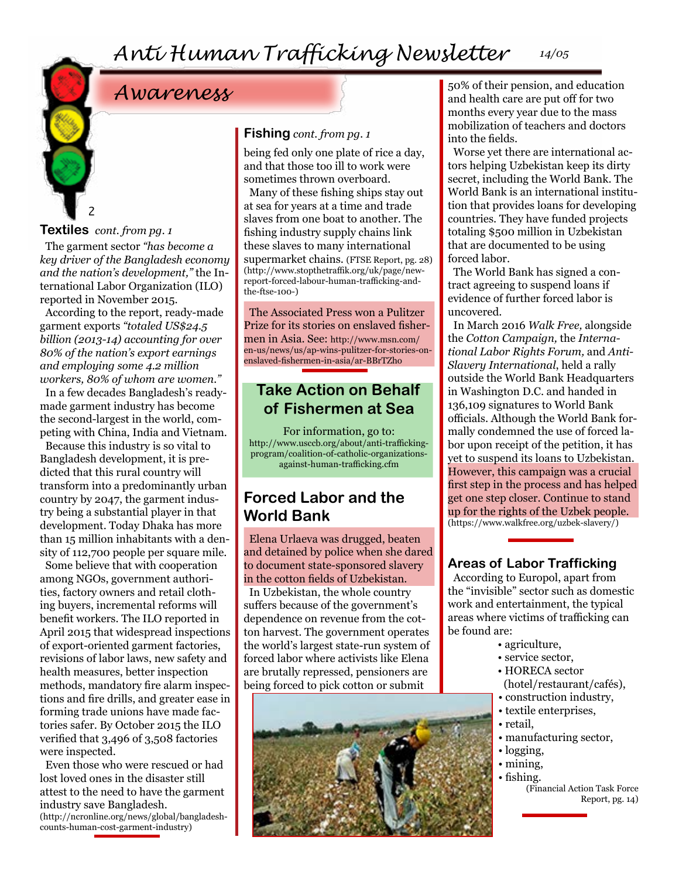# *Anti Human Trafficking Newsletter 14/05*

# *Awareness*

#### **Textiles** *cont. from pg. 1*

2

The garment sector *"has become a key driver of the Bangladesh economy and the nation's development,"* the International Labor Organization (ILO) reported in November 2015.

According to the report, ready-made garment exports *"totaled US\$24.5 billion (2013-14) accounting for over 80% of the nation's export earnings and employing some 4.2 million workers, 80% of whom are women."*

In a few decades Bangladesh's readymade garment industry has become the second-largest in the world, competing with China, India and Vietnam.

Because this industry is so vital to Bangladesh development, it is predicted that this rural country will transform into a predominantly urban country by 2047, the garment industry being a substantial player in that development. Today Dhaka has more than 15 million inhabitants with a density of 112,700 people per square mile.

Some believe that with cooperation among NGOs, government authorities, factory owners and retail clothing buyers, incremental reforms will benefit workers. The ILO reported in April 2015 that widespread inspections of export-oriented garment factories, revisions of labor laws, new safety and health measures, better inspection methods, mandatory fire alarm inspections and fire drills, and greater ease in forming trade unions have made factories safer. By October 2015 the ILO verified that 3,496 of 3,508 factories were inspected.

Even those who were rescued or had lost loved ones in the disaster still attest to the need to have the garment industry save Bangladesh. ([http://ncronline.org/news/global/bangladesh](http://ncronline.org/news/global/bangladesh-counts-human-cost-garment-industry)[counts-human-cost-garment-industry](http://ncronline.org/news/global/bangladesh-counts-human-cost-garment-industry))

#### **Fishing** *cont. from pg. 1*

being fed only one plate of rice a day, and that those too ill to work were sometimes thrown overboard.

Many of these fishing ships stay out at sea for years at a time and trade slaves from one boat to another. The fishing industry supply chains link these slaves to many international supermarket chains. (FTSE Report, pg. 28) ([http://www.stopthetraffik.org/uk/page/new](http://www.stopthetraffik.org/uk/page/new-report-forced-labour-human-trafficking-and-the-ftse-100-)[report-forced-labour-human-trafficking-and](http://www.stopthetraffik.org/uk/page/new-report-forced-labour-human-trafficking-and-the-ftse-100-)[the-ftse-100-](http://www.stopthetraffik.org/uk/page/new-report-forced-labour-human-trafficking-and-the-ftse-100-))

The Associated Press won a Pulitzer Prize for its stories on enslaved fishermen in Asia. See: [http://www.msn.com/](http://www.msn.com/en-us/news/us/ap-wins-pulitzer-for-stories-on-enslaved-fishermen-in-asia/ar-BBrTZho) [en-us/news/us/ap-wins-pulitzer-for-stories-on](http://www.msn.com/en-us/news/us/ap-wins-pulitzer-for-stories-on-enslaved-fishermen-in-asia/ar-BBrTZho)[enslaved-fishermen-in-asia/ar-BBrTZho](http://www.msn.com/en-us/news/us/ap-wins-pulitzer-for-stories-on-enslaved-fishermen-in-asia/ar-BBrTZho)

### **Take Action on Behalf of Fishermen at Sea**

For information, go to: [http://www.usccb.org/about/anti-trafficking](http://www.usccb.org/about/anti-trafficking-program/coalition-of-catholic-organizations-against-huma)[program/coalition-of-catholic-organizations](http://www.usccb.org/about/anti-trafficking-program/coalition-of-catholic-organizations-against-huma)[against-human-trafficking.cfm](http://www.usccb.org/about/anti-trafficking-program/coalition-of-catholic-organizations-against-huma)

### **Forced Labor and the World Bank**

Elena Urlaeva was drugged, beaten and detained by police when she dared to document state-sponsored slavery in the cotton fields of Uzbekistan.

In Uzbekistan, the whole country suffers because of the government's dependence on revenue from the cotton harvest. The government operates the world's largest state-run system of forced labor where activists like Elena are brutally repressed, pensioners are being forced to pick cotton or submit



50% of their pension, and education and health care are put off for two months every year due to the mass mobilization of teachers and doctors into the fields.

Worse yet there are international actors helping Uzbekistan keep its dirty secret, including the World Bank. The World Bank is an international institution that provides loans for developing countries. They have funded projects totaling \$500 million in Uzbekistan that are documented to be using forced labor.

The World Bank has signed a contract agreeing to suspend loans if evidence of further forced labor is uncovered.

In March 2016 *Walk Free,* alongside the *Cotton Campaign,* the *International Labor Rights Forum,* and *Anti-Slavery International*, held a rally outside the World Bank Headquarters in Washington D.C. and handed in 136,109 signatures to World Bank officials. Although the World Bank formally condemned the use of forced labor upon receipt of the petition, it has yet to suspend its loans to Uzbekistan. However, this campaign was a crucial first step in the process and has helped get one step closer. Continue to stand up for the rights of the Uzbek people. (<https://www.walkfree.org/uzbek-slavery/>)

#### **Areas of Labor Trafficking**

According to Europol, apart from the "invisible" sector such as domestic work and entertainment, the typical areas where victims of trafficking can be found are:

- agriculture,
- service sector,
- HORECA sector (hotel/restaurant/cafés),
- construction industry,
- textile enterprises,
- retail,
- manufacturing sector,
- logging,
- mining,
- fishing.

(Financial Action Task Force Report, pg. 14)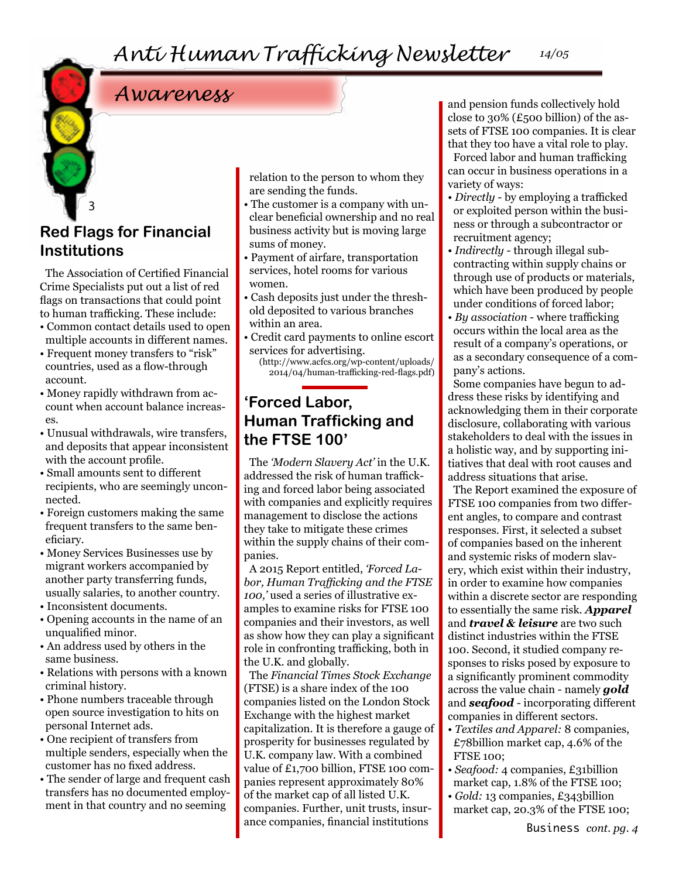# *Awareness*

### **Red Flags for Financial Institutions**

3

The Association of Certified Financial Crime Specialists put out a list of red flags on transactions that could point to human trafficking. These include:

- Common contact details used to open multiple accounts in different names.
- Frequent money transfers to "risk" countries, used as a flow-through account.
- Money rapidly withdrawn from account when account balance increases.
- Unusual withdrawals, wire transfers, and deposits that appear inconsistent with the account profile.
- Small amounts sent to different recipients, who are seemingly unconnected.
- Foreign customers making the same frequent transfers to the same beneficiary.
- Money Services Businesses use by migrant workers accompanied by another party transferring funds, usually salaries, to another country.
- Inconsistent documents.
- Opening accounts in the name of an unqualified minor.
- An address used by others in the same business.
- Relations with persons with a known criminal history.
- Phone numbers traceable through open source investigation to hits on personal Internet ads.
- One recipient of transfers from multiple senders, especially when the customer has no fixed address.
- The sender of large and frequent cash transfers has no documented employment in that country and no seeming

relation to the person to whom they are sending the funds.

- The customer is a company with unclear beneficial ownership and no real business activity but is moving large sums of money.
- Payment of airfare, transportation services, hotel rooms for various women.
- Cash deposits just under the threshold deposited to various branches within an area.
- Credit card payments to online escort services for advertising.
	- ([http://www.acfcs.org/wp-content/uploads/](http://www.acfcs.org/wp-content/uploads/2014/04/human-trafficking-red-flags.pdf)) [2014/04/human-trafficking-red-flags.pdf\)](http://www.acfcs.org/wp-content/uploads/2014/04/human-trafficking-red-flags.pdf))

### **'Forced Labor, Human Trafficking and the FTSE 100'**

The *'Modern Slavery Act'* in the U.K. addressed the risk of human trafficking and forced labor being associated with companies and explicitly requires management to disclose the actions they take to mitigate these crimes within the supply chains of their companies.

A 2015 Report entitled, *'Forced Labor, Human Trafficking and the FTSE 100,'* used a series of illustrative examples to examine risks for FTSE 100 companies and their investors, as well as show how they can play a significant role in confronting trafficking, both in the U.K. and globally.

The *Financial Times Stock Exchange*  (FTSE) is a share index of the 100 companies listed on the London Stock Exchange with the highest market capitalization. It is therefore a gauge of prosperity for businesses regulated by U.K. company law. With a combined value of £1,700 billion, FTSE 100 companies represent approximately 80% of the market cap of all listed U.K. companies. Further, unit trusts, insurance companies, financial institutions

and pension funds collectively hold close to  $30\%$  (£500 billion) of the assets of FTSE 100 companies. It is clear that they too have a vital role to play. Forced labor and human trafficking can occur in business operations in a variety of ways:

- *Directly* by employing a trafficked or exploited person within the business or through a subcontractor or recruitment agency;
- *Indirectly* through illegal subcontracting within supply chains or through use of products or materials, which have been produced by people under conditions of forced labor;
- *By association*  where trafficking occurs within the local area as the result of a company's operations, or as a secondary consequence of a company's actions.

Some companies have begun to address these risks by identifying and acknowledging them in their corporate disclosure, collaborating with various stakeholders to deal with the issues in a holistic way, and by supporting initiatives that deal with root causes and address situations that arise.

The Report examined the exposure of FTSE 100 companies from two different angles, to compare and contrast responses. First, it selected a subset of companies based on the inherent and systemic risks of modern slavery, which exist within their industry, in order to examine how companies within a discrete sector are responding to essentially the same risk. *Apparel*  and *travel & leisure* are two such distinct industries within the FTSE 100. Second, it studied company responses to risks posed by exposure to a significantly prominent commodity across the value chain - namely *gold*  and *seafood* - incorporating different companies in different sectors.

- *Textiles and Apparel:* 8 companies, £78billion market cap, 4.6% of the FTSE 100;
- *Seafood:* 4 companies, £31billion market cap, 1.8% of the FTSE 100;
- *Gold:* 13 companies, £343billion market cap, 20.3% of the FTSE 100;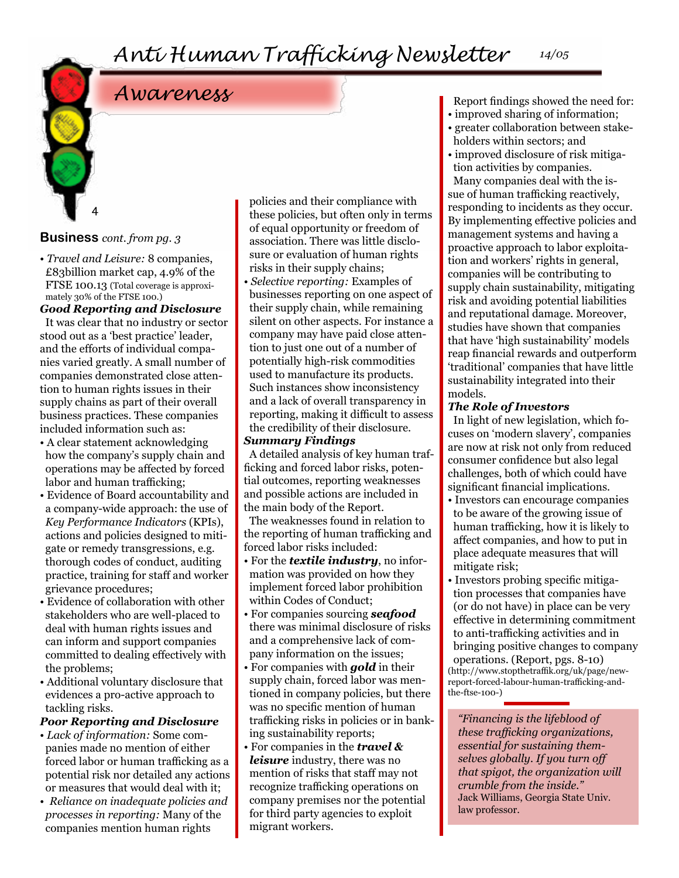# *Awareness*

#### **Business** *cont. from pg. 3*

4

• *Travel and Leisure:* 8 companies, £83billion market cap, 4.9% of the FTSE 100.13 (Total coverage is approximately 30% of the FTSE 100.)

*Good Reporting and Disclosure*  It was clear that no industry or sector stood out as a 'best practice' leader, and the efforts of individual companies varied greatly. A small number of companies demonstrated close attention to human rights issues in their supply chains as part of their overall business practices. These companies included information such as:

- A clear statement acknowledging how the company's supply chain and operations may be affected by forced labor and human trafficking;
- Evidence of Board accountability and a company-wide approach: the use of *Key Performance Indicators* (KPIs), actions and policies designed to mitigate or remedy transgressions, e.g. thorough codes of conduct, auditing practice, training for staff and worker grievance procedures;
- Evidence of collaboration with other stakeholders who are well-placed to deal with human rights issues and can inform and support companies committed to dealing effectively with the problems;
- Additional voluntary disclosure that evidences a pro-active approach to tackling risks.

#### *Poor Reporting and Disclosure*

- • *Lack of information:* Some companies made no mention of either forced labor or human trafficking as a potential risk nor detailed any actions or measures that would deal with it;
- *Reliance on inadequate policies and processes in reporting:* Many of the companies mention human rights

policies and their compliance with these policies, but often only in terms of equal opportunity or freedom of association. There was little disclosure or evaluation of human rights risks in their supply chains;

• *Selective reporting:* Examples of businesses reporting on one aspect of their supply chain, while remaining silent on other aspects. For instance a company may have paid close attention to just one out of a number of potentially high-risk commodities used to manufacture its products. Such instances show inconsistency and a lack of overall transparency in reporting, making it difficult to assess the credibility of their disclosure. *Summary Findings*

A detailed analysis of key human trafficking and forced labor risks, potential outcomes, reporting weaknesses and possible actions are included in the main body of the Report.

The weaknesses found in relation to the reporting of human trafficking and forced labor risks included:

- For the *textile industry*, no information was provided on how they implement forced labor prohibition within Codes of Conduct;
- For companies sourcing *seafood* there was minimal disclosure of risks and a comprehensive lack of company information on the issues;
- For companies with *gold* in their supply chain, forced labor was mentioned in company policies, but there was no specific mention of human trafficking risks in policies or in banking sustainability reports;
- For companies in the *travel & leisure* industry, there was no mention of risks that staff may not recognize trafficking operations on company premises nor the potential for third party agencies to exploit migrant workers.

Report findings showed the need for:

- improved sharing of information;
- greater collaboration between stakeholders within sectors; and
- improved disclosure of risk mitigation activities by companies.

Many companies deal with the issue of human trafficking reactively, responding to incidents as they occur. By implementing effective policies and management systems and having a proactive approach to labor exploitation and workers' rights in general, companies will be contributing to supply chain sustainability, mitigating risk and avoiding potential liabilities and reputational damage. Moreover, studies have shown that companies that have 'high sustainability' models reap financial rewards and outperform 'traditional' companies that have little sustainability integrated into their models.

#### *The Role of Investors*

In light of new legislation, which focuses on 'modern slavery', companies are now at risk not only from reduced consumer confidence but also legal challenges, both of which could have significant financial implications.

- Investors can encourage companies to be aware of the growing issue of human trafficking, how it is likely to affect companies, and how to put in place adequate measures that will mitigate risk;
- Investors probing specific mitigation processes that companies have (or do not have) in place can be very effective in determining commitment to anti-trafficking activities and in bringing positive changes to company operations. (Report, pgs. 8-10) ([http://www.stopthetraffik.org/uk/page/new](http://www.stopthetraffik.org/uk/page/new-report-forced-labour-human-trafficking-and-the-ftse-100-)[report-forced-labour-human-trafficking-and](http://www.stopthetraffik.org/uk/page/new-report-forced-labour-human-trafficking-and-the-ftse-100-)[the-ftse-100-](http://www.stopthetraffik.org/uk/page/new-report-forced-labour-human-trafficking-and-the-ftse-100-))

*"Financing is the lifeblood of these trafficking organizations, essential for sustaining themselves globally. If you turn off that spigot, the organization will crumble from the inside."*  Jack Williams, Georgia State Univ. law professor.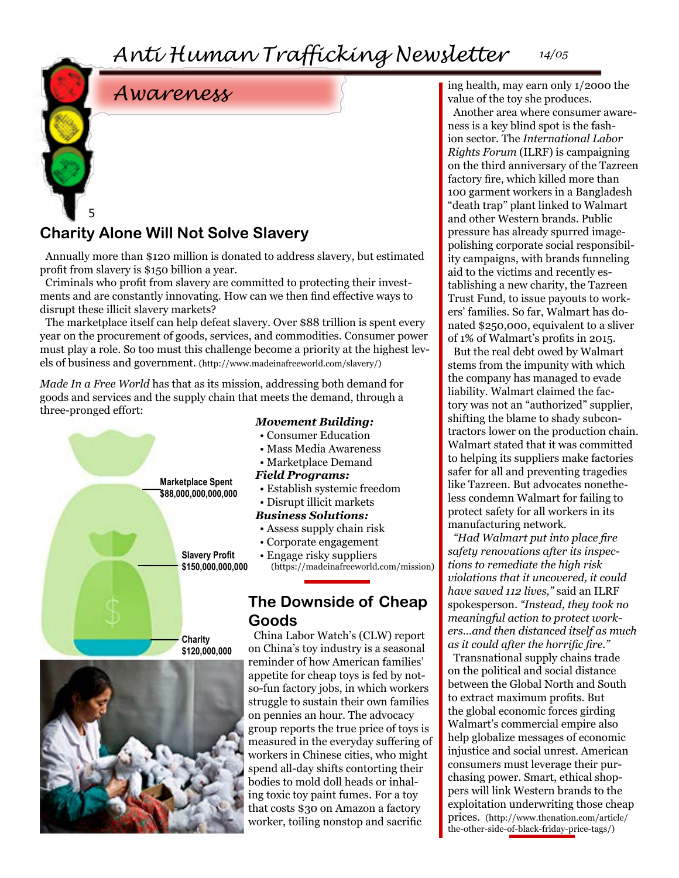

# **Charity Alone Will Not Solve Slavery**

5

Annually more than \$120 million is donated to address slavery, but estimated profit from slavery is \$150 billion a year.

Criminals who profit from slavery are committed to protecting their investments and are constantly innovating. How can we then find effective ways to disrupt these illicit slavery markets?

The marketplace itself can help defeat slavery. Over \$88 trillion is spent every year on the procurement of goods, services, and commodities. Consumer power must play a role. So too must this challenge become a priority at the highest levels of business and government. (http://www.madeinafreeworld.com/slavery/)

*Made In a Free World* has that as its mission, addressing both demand for goods and services and the supply chain that meets the demand, through a three-pronged effort:



**\$120,000,000**



#### *Movement Building:*

- 
- Mass Media Awareness
- Marketplace Demand
- Establish systemic freedom
- Disrupt illicit markets

#### *Business Solutions:*

- Assess supply chain risk
- Corporate engagement
- Engage risky suppliers
- (https://madeinafreeworld.com/mission)

# **The Downside of Cheap**

China Labor Watch's (CLW) report on China's toy industry is a seasonal reminder of how American families' appetite for cheap toys is fed by notso-fun factory jobs, in which workers struggle to sustain their own families on pennies an hour. The advocacy group reports the true price of toys is measured in the everyday suffering of workers in Chinese cities, who might spend all-day shifts contorting their bodies to mold doll heads or inhaling toxic toy paint fumes. For a toy that costs \$30 on Amazon a factory worker, toiling nonstop and sacrific

ing health, may earn only 1/2000 the value of the toy she produces. Another area where consumer awareness is a key blind spot is the fashion sector. The *International Labor Rights Forum* (ILRF) is campaigning on the third anniversary of the Tazreen factory fire, which killed more than 100 garment workers in a Bangladesh "death trap" plant linked to Walmart and other Western brands. Public pressure has already spurred imagepolishing corporate social responsibility campaigns, with brands funneling aid to the victims and recently establishing a new charity, the Tazreen Trust Fund, to issue payouts to workers' families. So far, Walmart has donated \$250,000, equivalent to a sliver of 1% of Walmart's profits in 2015.

But the real debt owed by Walmart stems from the impunity with which the company has managed to evade liability. Walmart claimed the factory was not an "authorized" supplier, shifting the blame to shady subcontractors lower on the production chain. Walmart stated that it was committed to helping its suppliers make factories safer for all and preventing tragedies like Tazreen. But advocates nonetheless condemn Walmart for failing to protect safety for all workers in its manufacturing network.

*"Had Walmart put into place fire safety renovations after its inspections to remediate the high risk violations that it uncovered, it could have saved 112 lives,"* said an ILRF spokesperson. *"Instead, they took no meaningful action to protect workers…and then distanced itself as much as it could after the horrific fire."* 

Transnational supply chains trade on the political and social distance between the Global North and South to extract maximum profits. But the global economic forces girding Walmart's commercial empire also help globalize messages of economic injustice and social unrest. American consumers must leverage their purchasing power. Smart, ethical shoppers will link Western brands to the exploitation underwriting those cheap prices. ([http://www.thenation.com/article/](http://www.thenation.com/article/the-other-side-of-black-friday-price-tags) [the-other-side-of-black-friday-price-tags/](http://www.thenation.com/article/the-other-side-of-black-friday-price-tags))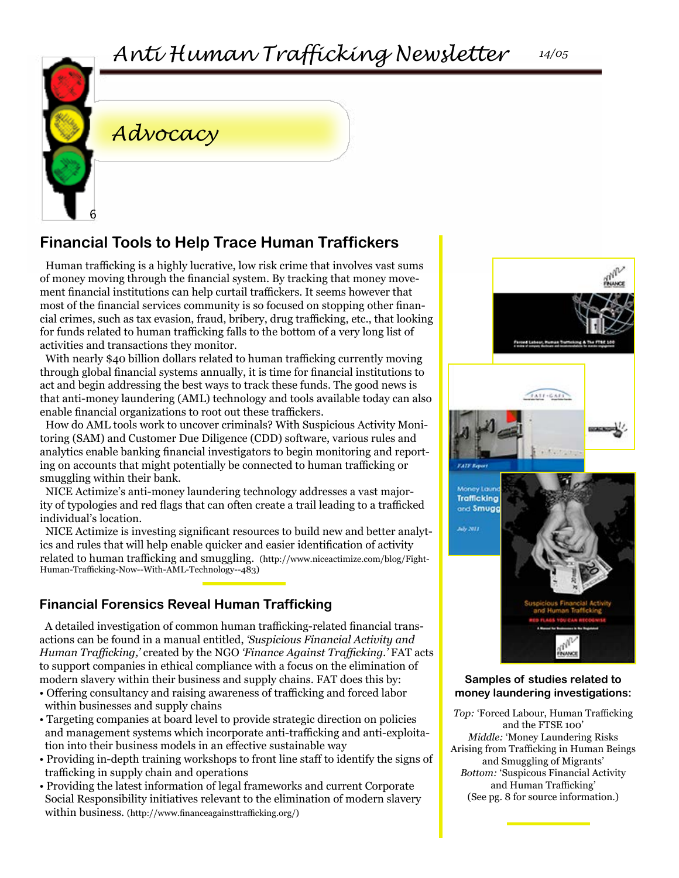# *Anti Human Trafficking Newsletter 14/05*



# *Advocacy*

### **Financial Tools to Help Trace Human Traffickers**

Human trafficking is a highly lucrative, low risk crime that involves vast sums of money moving through the financial system. By tracking that money movement financial institutions can help curtail traffickers. It seems however that most of the financial services community is so focused on stopping other financial crimes, such as tax evasion, fraud, bribery, drug trafficking, etc., that looking for funds related to human trafficking falls to the bottom of a very long list of activities and transactions they monitor.

With nearly \$40 billion dollars related to human trafficking currently moving through global financial systems annually, it is time for financial institutions to act and begin addressing the best ways to track these funds. The good news is that anti-money laundering (AML) technology and tools available today can also enable financial organizations to root out these traffickers.

How do AML tools work to uncover criminals? With Suspicious Activity Monitoring (SAM) and Customer Due Diligence (CDD) software, various rules and analytics enable banking financial investigators to begin monitoring and reporting on accounts that might potentially be connected to human trafficking or smuggling within their bank.

NICE Actimize's anti-money laundering technology addresses a vast majority of typologies and red flags that can often create a trail leading to a trafficked individual's location.

NICE Actimize is investing significant resources to build new and better analytics and rules that will help enable quicker and easier identification of activity related to human trafficking and smuggling. ([http://www.niceactimize.com/blog/Fight-](http://www.niceactimize.com/blog/Fight-Human-Trafficking-Now--With-AML-Technology--483)[Human-Trafficking-Now--With-AML-Technology--483](http://www.niceactimize.com/blog/Fight-Human-Trafficking-Now--With-AML-Technology--483))

### **Financial Forensics Reveal Human Trafficking**

A detailed investigation of common human trafficking-related financial transactions can be found in a manual entitled, *'Suspicious Financial Activity and Human Trafficking,'* created by the NGO *'Finance Against Trafficking.'* FAT acts to support companies in ethical compliance with a focus on the elimination of modern slavery within their business and supply chains. FAT does this by:

- Offering consultancy and raising awareness of trafficking and forced labor within businesses and supply chains
- Targeting companies at board level to provide strategic direction on policies and management systems which incorporate anti-trafficking and anti-exploitation into their business models in an effective sustainable way
- Providing in-depth training workshops to front line staff to identify the signs of trafficking in supply chain and operations
- Providing the latest information of legal frameworks and current Corporate Social Responsibility initiatives relevant to the elimination of modern slavery within business. (http://www.financeagainsttrafficking.org/)



#### **Samples of studies related to money laundering investigations:**

*Top:* 'Forced Labour, Human Trafficking and the FTSE 100' *Middle:* 'Money Laundering Risks Arising from Trafficking in Human Beings and Smuggling of Migrants' *Bottom:* 'Suspicous Financial Activity and Human Trafficking' (See pg. 8 for source information.)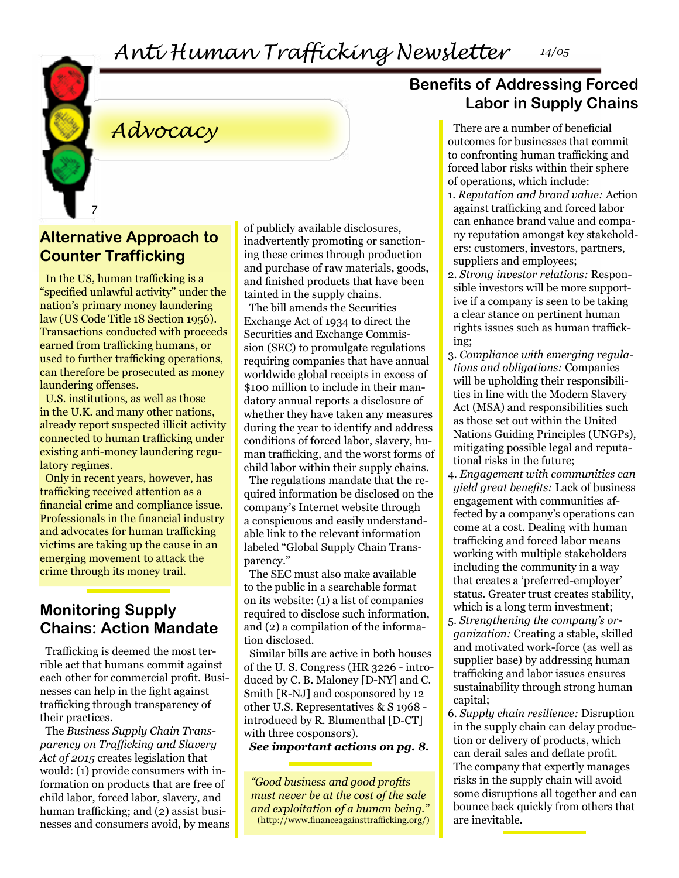*Anti Human Trafficking Newsletter 14/05*



# *Advocacy*

### **Alternative Approach to Counter Trafficking**

In the US, human trafficking is a "specified unlawful activity" under the nation's primary money laundering law (US Code Title 18 Section 1956). Transactions conducted with proceeds earned from trafficking humans, or used to further trafficking operations, can therefore be prosecuted as money laundering offenses.

U.S. institutions, as well as those in the U.K. and many other nations, already report suspected illicit activity connected to human trafficking under existing anti-money laundering regulatory regimes.

Only in recent years, however, has trafficking received attention as a financial crime and compliance issue. Professionals in the financial industry and advocates for human trafficking victims are taking up the cause in an emerging movement to attack the crime through its money trail.

### **Monitoring Supply Chains: Action Mandate**

Trafficking is deemed the most terrible act that humans commit against each other for commercial profit. Businesses can help in the fight against trafficking through transparency of their practices.

The *Business Supply Chain Transparency on Trafficking and Slavery Act of 2015* creates legislation that would: (1) provide consumers with information on products that are free of child labor, forced labor, slavery, and human trafficking; and (2) assist businesses and consumers avoid, by means

of publicly available disclosures, inadvertently promoting or sanctioning these crimes through production and purchase of raw materials, goods, and finished products that have been tainted in the supply chains.

The bill amends the Securities Exchange Act of 1934 to direct the Securities and Exchange Commission (SEC) to promulgate regulations requiring companies that have annual worldwide global receipts in excess of \$100 million to include in their mandatory annual reports a disclosure of whether they have taken any measures during the year to identify and address conditions of forced labor, slavery, human trafficking, and the worst forms of child labor within their supply chains.

The regulations mandate that the required information be disclosed on the company's Internet website through a conspicuous and easily understandable link to the relevant information labeled "Global Supply Chain Transparency."

The SEC must also make available to the public in a searchable format on its website: (1) a list of companies required to disclose such information, and (2) a compilation of the information disclosed.

Similar bills are active in both houses of the U. S. Congress (HR 3226 - introduced by C. B. Maloney [D-NY] and C. Smith [R-NJ] and cosponsored by 12 other U.S. Representatives & S 1968 introduced by R. Blumenthal [D-CT] with three cosponsors).

*See important actions on pg. 8.*

*"Good business and good profits must never be at the cost of the sale and exploitation of a human being."*  (http://www.financeagainsttrafficking.org/)

### **Benefits of Addressing Forced Labor in Supply Chains**

There are a number of beneficial outcomes for businesses that commit to confronting human trafficking and forced labor risks within their sphere of operations, which include:

- 1. *Reputation and brand value:* Action against trafficking and forced labor can enhance brand value and company reputation amongst key stakeholders: customers, investors, partners, suppliers and employees;
- 2. *Strong investor relations:* Responsible investors will be more supportive if a company is seen to be taking a clear stance on pertinent human rights issues such as human trafficking;
- 3. *Compliance with emerging regulations and obligations:* Companies will be upholding their responsibilities in line with the Modern Slavery Act (MSA) and responsibilities such as those set out within the United Nations Guiding Principles (UNGPs), mitigating possible legal and reputational risks in the future;
- 4. *Engagement with communities can yield great benefits:* Lack of business engagement with communities affected by a company's operations can come at a cost. Dealing with human trafficking and forced labor means working with multiple stakeholders including the community in a way that creates a 'preferred-employer' status. Greater trust creates stability, which is a long term investment;
- 5. *Strengthening the company's organization:* Creating a stable, skilled and motivated work-force (as well as supplier base) by addressing human trafficking and labor issues ensures sustainability through strong human capital;
- 6. *Supply chain resilience:* Disruption in the supply chain can delay production or delivery of products, which can derail sales and deflate profit. The company that expertly manages risks in the supply chain will avoid some disruptions all together and can bounce back quickly from others that are inevitable.